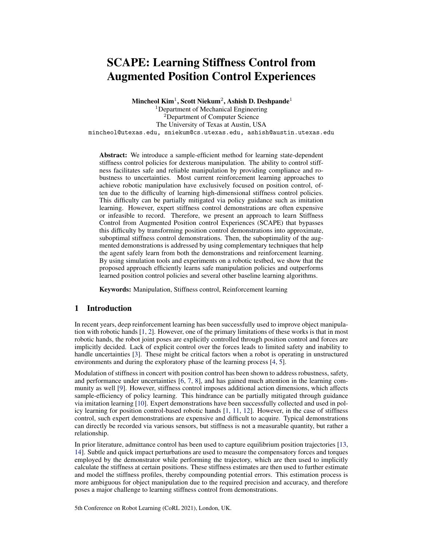# SCAPE: Learning Stiffness Control from Augmented Position Control Experiences

Mincheol  $\mathbf{Kim}^1\mathbf{, Scott}$  Niekum $^2\mathbf{, Ashish\ } \mathbf{D.}$  Deshpande $^1$ 

<sup>1</sup>Department of Mechanical Engineering <sup>2</sup>Department of Computer Science The University of Texas at Austin, USA mincheol@utexas.edu, sniekum@cs.utexas.edu, ashish@austin.utexas.edu

Abstract: We introduce a sample-efficient method for learning state-dependent stiffness control policies for dexterous manipulation. The ability to control stiffness facilitates safe and reliable manipulation by providing compliance and robustness to uncertainties. Most current reinforcement learning approaches to achieve robotic manipulation have exclusively focused on position control, often due to the difficulty of learning high-dimensional stiffness control policies. This difficulty can be partially mitigated via policy guidance such as imitation learning. However, expert stiffness control demonstrations are often expensive or infeasible to record. Therefore, we present an approach to learn Stiffness Control from Augmented Position control Experiences (SCAPE) that bypasses this difficulty by transforming position control demonstrations into approximate, suboptimal stiffness control demonstrations. Then, the suboptimality of the augmented demonstrations is addressed by using complementary techniques that help the agent safely learn from both the demonstrations and reinforcement learning. By using simulation tools and experiments on a robotic testbed, we show that the proposed approach efficiently learns safe manipulation policies and outperforms learned position control policies and several other baseline learning algorithms.

Keywords: Manipulation, Stiffness control, Reinforcement learning

## 1 Introduction

In recent years, deep reinforcement learning has been successfully used to improve object manipulation with robotic hands [\[1,](#page-8-0) [2\]](#page-8-0). However, one of the primary limitations of these works is that in most robotic hands, the robot joint poses are explicitly controlled through position control and forces are implicitly decided. Lack of explicit control over the forces leads to limited safety and inability to handle uncertainties [\[3\]](#page-8-0). These might be critical factors when a robot is operating in unstructured environments and during the exploratory phase of the learning process [\[4,](#page-8-0) [5\]](#page-8-0).

Modulation of stiffness in concert with position control has been shown to address robustness, safety, and performance under uncertainties [\[6,](#page-8-0) [7,](#page-8-0) [8\]](#page-8-0), and has gained much attention in the learning community as well [\[9\]](#page-8-0). However, stiffness control imposes additional action dimensions, which affects sample-efficiency of policy learning. This hindrance can be partially mitigated through guidance via imitation learning [\[10\]](#page-8-0). Expert demonstrations have been successfully collected and used in policy learning for position control-based robotic hands [\[1,](#page-8-0) [11,](#page-8-0) [12\]](#page-8-0). However, in the case of stiffness control, such expert demonstrations are expensive and difficult to acquire. Typical demonstrations can directly be recorded via various sensors, but stiffness is not a measurable quantity, but rather a relationship.

In prior literature, admittance control has been used to capture equilibrium position trajectories [\[13,](#page-8-0) [14\]](#page-8-0). Subtle and quick impact perturbations are used to measure the compensatory forces and torques employed by the demonstrator while performing the trajectory, which are then used to implicitly calculate the stiffness at certain positions. These stiffness estimates are then used to further estimate and model the stiffness profiles, thereby compounding potential errors. This estimation process is more ambiguous for object manipulation due to the required precision and accuracy, and therefore poses a major challenge to learning stiffness control from demonstrations.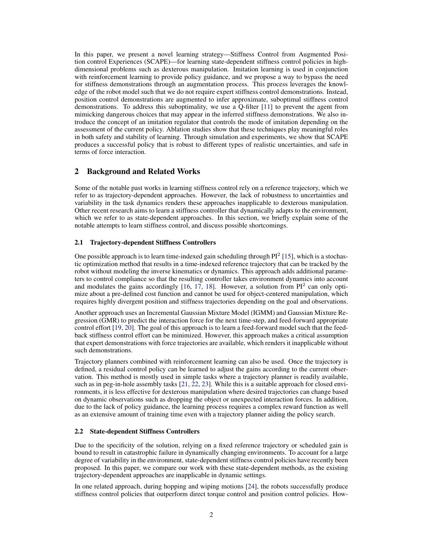In this paper, we present a novel learning strategy—Stiffness Control from Augmented Position control Experiences (SCAPE)—for learning state-dependent stiffness control policies in highdimensional problems such as dexterous manipulation. Imitation learning is used in conjunction with reinforcement learning to provide policy guidance, and we propose a way to bypass the need for stiffness demonstrations through an augmentation process. This process leverages the knowledge of the robot model such that we do not require expert stiffness control demonstrations. Instead, position control demonstrations are augmented to infer approximate, suboptimal stiffness control demonstrations. To address this suboptimality, we use a Q-filter [\[11\]](#page-8-0) to prevent the agent from mimicking dangerous choices that may appear in the inferred stiffness demonstrations. We also introduce the concept of an imitation regulator that controls the mode of imitation depending on the assessment of the current policy. Ablation studies show that these techniques play meaningful roles in both safety and stability of learning. Through simulation and experiments, we show that SCAPE produces a successful policy that is robust to different types of realistic uncertainties, and safe in terms of force interaction.

## 2 Background and Related Works

Some of the notable past works in learning stiffness control rely on a reference trajectory, which we refer to as trajectory-dependent approaches. However, the lack of robustness to uncertainties and variability in the task dynamics renders these approaches inapplicable to dexterous manipulation. Other recent research aims to learn a stiffness controller that dynamically adapts to the environment, which we refer to as state-dependent approaches. In this section, we briefly explain some of the notable attempts to learn stiffness control, and discuss possible shortcomings.

## 2.1 Trajectory-dependent Stiffness Controllers

One possible approach is to learn time-indexed gain scheduling through PI<sup>2</sup> [\[15\]](#page-8-0), which is a stochastic optimization method that results in a time-indexed reference trajectory that can be tracked by the robot without modeling the inverse kinematics or dynamics. This approach adds additional parameters to control compliance so that the resulting controller takes environment dynamics into account and modulates the gains accordingly  $[16, 17, 18]$  $[16, 17, 18]$  $[16, 17, 18]$  $[16, 17, 18]$  $[16, 17, 18]$ . However, a solution from  $PI<sup>2</sup>$  can only optimize about a pre-defined cost function and cannot be used for object-centered manipulation, which requires highly divergent position and stiffness trajectories depending on the goal and observations.

Another approach uses an Incremental Gaussian Mixture Model (IGMM) and Gaussian Mixture Regression (GMR) to predict the interaction force for the next time-step, and feed-forward appropriate control effort [\[19,](#page-9-0) [20\]](#page-9-0). The goal of this approach is to learn a feed-forward model such that the feedback stiffness control effort can be minimized. However, this approach makes a critical assumption that expert demonstrations with force trajectories are available, which renders it inapplicable without such demonstrations.

Trajectory planners combined with reinforcement learning can also be used. Once the trajectory is defined, a residual control policy can be learned to adjust the gains according to the current observation. This method is mostly used in simple tasks where a trajectory planner is readily available, such as in peg-in-hole assembly tasks [\[21,](#page-9-0) [22,](#page-9-0) [23\]](#page-9-0). While this is a suitable approach for closed environments, it is less effective for dexterous manipulation where desired trajectories can change based on dynamic observations such as dropping the object or unexpected interaction forces. In addition, due to the lack of policy guidance, the learning process requires a complex reward function as well as an extensive amount of training time even with a trajectory planner aiding the policy search.

## 2.2 State-dependent Stiffness Controllers

Due to the specificity of the solution, relying on a fixed reference trajectory or scheduled gain is bound to result in catastrophic failure in dynamically changing environments. To account for a large degree of variability in the environment, state-dependent stiffness control policies have recently been proposed. In this paper, we compare our work with these state-dependent methods, as the existing trajectory-dependent approaches are inapplicable in dynamic settings.

In one related approach, during hopping and wiping motions [\[24\]](#page-9-0), the robots successfully produce stiffness control policies that outperform direct torque control and position control policies. How-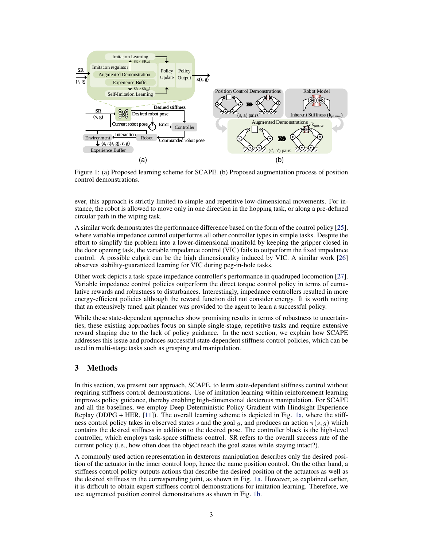

Figure 1: (a) Proposed learning scheme for SCAPE. (b) Proposed augmentation process of position control demonstrations.

ever, this approach is strictly limited to simple and repetitive low-dimensional movements. For instance, the robot is allowed to move only in one direction in the hopping task, or along a pre-defined circular path in the wiping task.

A similar work demonstrates the performance difference based on the form of the control policy [\[25\]](#page-9-0), where variable impedance control outperforms all other controller types in simple tasks. Despite the effort to simplify the problem into a lower-dimensional manifold by keeping the gripper closed in the door opening task, the variable impedance control (VIC) fails to outperform the fixed impedance control. A possible culprit can be the high dimensionality induced by VIC. A similar work [\[26\]](#page-9-0) observes stability-guaranteed learning for VIC during peg-in-hole tasks.

Other work depicts a task-space impedance controller's performance in quadruped locomotion [\[27\]](#page-9-0). Variable impedance control policies outperform the direct torque control policy in terms of cumulative rewards and robustness to disturbances. Interestingly, impedance controllers resulted in more energy-efficient policies although the reward function did not consider energy. It is worth noting that an extensively tuned gait planner was provided to the agent to learn a successful policy.

While these state-dependent approaches show promising results in terms of robustness to uncertainties, these existing approaches focus on simple single-stage, repetitive tasks and require extensive reward shaping due to the lack of policy guidance. In the next section, we explain how SCAPE addresses this issue and produces successful state-dependent stiffness control policies, which can be used in multi-stage tasks such as grasping and manipulation.

# 3 Methods

In this section, we present our approach, SCAPE, to learn state-dependent stiffness control without requiring stiffness control demonstrations. Use of imitation learning within reinforcement learning improves policy guidance, thereby enabling high-dimensional dexterous manipulation. For SCAPE and all the baselines, we employ Deep Deterministic Policy Gradient with Hindsight Experience Replay (DDPG + HER, [\[11\]](#page-8-0)). The overall learning scheme is depicted in Fig. 1a, where the stiffness control policy takes in observed states s and the goal g, and produces an action  $\pi(s, g)$  which contains the desired stiffness in addition to the desired pose. The controller block is the high-level controller, which employs task-space stiffness control. SR refers to the overall success rate of the current policy (i.e., how often does the object reach the goal states while staying intact?).

A commonly used action representation in dexterous manipulation describes only the desired position of the actuator in the inner control loop, hence the name position control. On the other hand, a stiffness control policy outputs actions that describe the desired position of the actuators as well as the desired stiffness in the corresponding joint, as shown in Fig. 1a. However, as explained earlier, it is difficult to obtain expert stiffness control demonstrations for imitation learning. Therefore, we use augmented position control demonstrations as shown in Fig. 1b.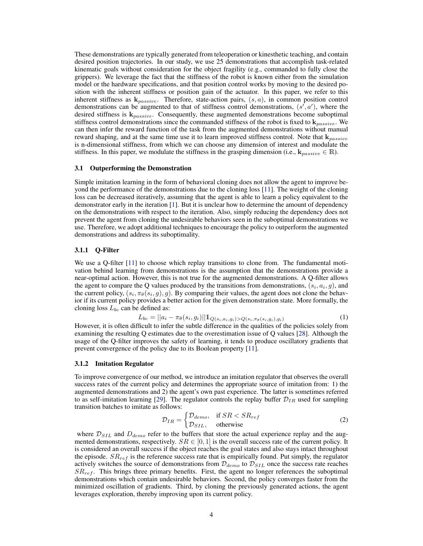These demonstrations are typically generated from teleoperation or kinesthetic teaching, and contain desired position trajectories. In our study, we use 25 demonstrations that accomplish task-related kinematic goals without consideration for the object fragility (e.g., commanded to fully close the grippers). We leverage the fact that the stiffness of the robot is known either from the simulation model or the hardware specifications, and that position control works by moving to the desired position with the inherent stiffness or position gain of the actuator. In this paper, we refer to this inherent stiffness as  $\mathbf{k}_{passive}$ . Therefore, state-action pairs,  $(s, a)$ , in common position control demonstrations can be augmented to that of stiffness control demonstrations,  $(s', a')$ , where the desired stiffness is  $\mathbf{k}_{passive}$ . Consequently, these augmented demonstrations become suboptimal stiffness control demonstrations since the commanded stiffness of the robot is fixed to  $\mathbf{k}_{passive}$ . We can then infer the reward function of the task from the augmented demonstrations without manual reward shaping, and at the same time use it to learn improved stiffness control. Note that  $k_{passive}$ is n-dimensional stiffness, from which we can choose any dimension of interest and modulate the stiffness. In this paper, we modulate the stiffness in the grasping dimension (i.e.,  $\mathbf{k}_{passive} \in \mathbb{R}$ ).

#### 3.1 Outperforming the Demonstration

Simple imitation learning in the form of behavioral cloning does not allow the agent to improve beyond the performance of the demonstrations due to the cloning loss [\[11\]](#page-8-0). The weight of the cloning loss can be decreased iteratively, assuming that the agent is able to learn a policy equivalent to the demonstrator early in the iteration [\[1\]](#page-8-0). But it is unclear how to determine the amount of dependency on the demonstrations with respect to the iteration. Also, simply reducing the dependency does not prevent the agent from cloning the undesirable behaviors seen in the suboptimal demonstrations we use. Therefore, we adopt additional techniques to encourage the policy to outperform the augmented demonstrations and address its suboptimality.

#### 3.1.1 Q-Filter

We use a Q-filter [\[11\]](#page-8-0) to choose which replay transitions to clone from. The fundamental motivation behind learning from demonstrations is the assumption that the demonstrations provide a near-optimal action. However, this is not true for the augmented demonstrations. A Q-filter allows the agent to compare the Q values produced by the transitions from demonstrations,  $(s_i, a_i, g)$ , and the current policy,  $(s_i, \pi_\theta(s_i, g), g)$ . By comparing their values, the agent does not clone the behavior if its current policy provides a better action for the given demonstration state. More formally, the cloning loss  $L_{bc}$  can be defined as:

$$
L_{bc} = ||a_i - \pi_\theta(s_i, g_i)|| \mathbb{1}_{Q(s_i, a_i, g_i) > Q(s_i, \pi_\theta(s_i, g_i), g_i)}
$$
(1)

However, it is often difficult to infer the subtle difference in the qualities of the policies solely from examining the resulting Q estimates due to the overestimation issue of Q values [\[28\]](#page-9-0). Although the usage of the Q-filter improves the safety of learning, it tends to produce oscillatory gradients that prevent convergence of the policy due to its Boolean property [\[11\]](#page-8-0).

#### 3.1.2 Imitation Regulator

To improve convergence of our method, we introduce an imitation regulator that observes the overall success rates of the current policy and determines the appropriate source of imitation from: 1) the augmented demonstrations and 2) the agent's own past experience. The latter is sometimes referred to as self-imitation learning [\[29\]](#page-9-0). The regulator controls the replay buffer  $\mathcal{D}_{IR}$  used for sampling transition batches to imitate as follows:

$$
\mathcal{D}_{IR} = \begin{cases} \mathcal{D}_{demo}, & \text{if } SR < SR_{ref} \\ \mathcal{D}_{SIL}, & \text{otherwise} \end{cases}
$$
 (2)

where  $\mathcal{D}_{SIL}$  and  $D_{demo}$  refer to the buffers that store the actual experience replay and the augmented demonstrations, respectively.  $SR \in [0,1]$  is the overall success rate of the current policy. It is considered an overall success if the object reaches the goal states and also stays intact throughout the episode.  $SR_{ref}$  is the reference success rate that is empirically found. Put simply, the regulator actively switches the source of demonstrations from  $\mathcal{D}_{demo}$  to  $\mathcal{D}_{SIL}$  once the success rate reaches  $SR_{ref}$ . This brings three primary benefits. First, the agent no longer references the suboptimal demonstrations which contain undesirable behaviors. Second, the policy converges faster from the minimized oscillation of gradients. Third, by cloning the previously generated actions, the agent leverages exploration, thereby improving upon its current policy.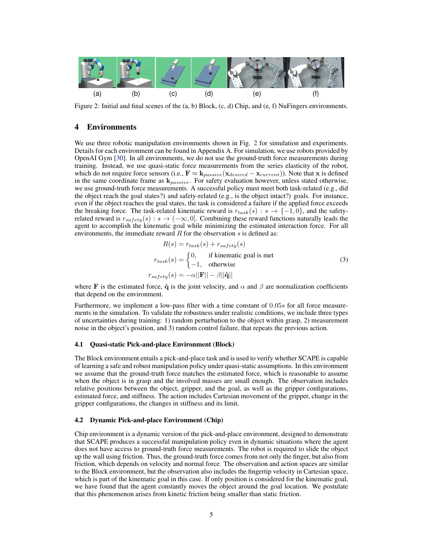

Figure 2: Initial and final scenes of the (a, b) Block, (c, d) Chip, and (e, f) NuFingers environments.

## 4 Environments

We use three robotic manipulation environments shown in Fig. 2 for simulation and experiments. Details for each environment can be found in Appendix A. For simulation, we use robots provided by OpenAI Gym [\[30\]](#page-9-0). In all environments, we do not use the ground-truth force measurements during training. Instead, we use quasi-static force measurements from the series elasticity of the robot, which do not require force sensors (i.e.,  $\mathbf{F} \approx \mathbf{k}_{passive}(\mathbf{x}_{desired} - \mathbf{x}_{current})$ ). Note that x is defined in the same coordinate frame as  $\mathbf{k}_{passive}$ . For safety evaluation however, unless stated otherwise, we use ground-truth force measurements. A successful policy must meet both task-related (e.g., did the object reach the goal states?) and safety-related (e.g., is the object intact?) goals. For instance, even if the object reaches the goal states, the task is considered a failure if the applied force exceeds the breaking force. The task-related kinematic reward is  $r_{task}(s) : s \rightarrow \{-1,0\}$ , and the safetyrelated reward is  $r_{safety}(s) : s \rightarrow (-\infty, 0]$ . Combining these reward functions naturally leads the agent to accomplish the kinematic goal while minimizing the estimated interaction force. For all environments, the immediate reward R for the observation s is defined as:

$$
R(s) = r_{task}(s) + r_{safety}(s)
$$
  
\n
$$
r_{task}(s) = \begin{cases} 0, & \text{if kinematic goal is met} \\ -1, & \text{otherwise} \end{cases}
$$
  
\n
$$
r_{safety}(s) = -\alpha ||\mathbf{F}|| - \beta ||\dot{\mathbf{q}}||
$$
 (3)

where F is the estimated force,  $\dot{\mathbf{q}}$  is the joint velocity, and  $\alpha$  and  $\beta$  are normalization coefficients that depend on the environment.

Furthermore, we implement a low-pass filter with a time constant of 0.05s for all force measurements in the simulation. To validate the robustness under realistic conditions, we include three types of uncertainties during training: 1) random perturbation to the object within grasp, 2) measurement noise in the object's position, and 3) random control failure, that repeats the previous action.

#### 4.1 Quasi-static Pick-and-place Environment (Block)

The Block environment entails a pick-and-place task and is used to verify whether SCAPE is capable of learning a safe and robust manipulation policy under quasi-static assumptions. In this environment we assume that the ground-truth force matches the estimated force, which is reasonable to assume when the object is in grasp and the involved masses are small enough. The observation includes relative positions between the object, gripper, and the goal, as well as the gripper configurations, estimated force, and stiffness. The action includes Cartesian movement of the gripper, change in the gripper configurations, the changes in stiffness and its limit.

### 4.2 Dynamic Pick-and-place Environment (Chip)

Chip environment is a dynamic version of the pick-and-place environment, designed to demonstrate that SCAPE produces a successful manipulation policy even in dynamic situations where the agent does not have access to ground-truth force measurements. The robot is required to slide the object up the wall using friction. Thus, the ground-truth force comes from not only the finger, but also from friction, which depends on velocity and normal force. The observation and action spaces are similar to the Block environment, but the observation also includes the fingertip velocity in Cartesian space, which is part of the kinematic goal in this case. If only position is considered for the kinematic goal, we have found that the agent constantly moves the object around the goal location. We postulate that this phenomenon arises from kinetic friction being smaller than static friction.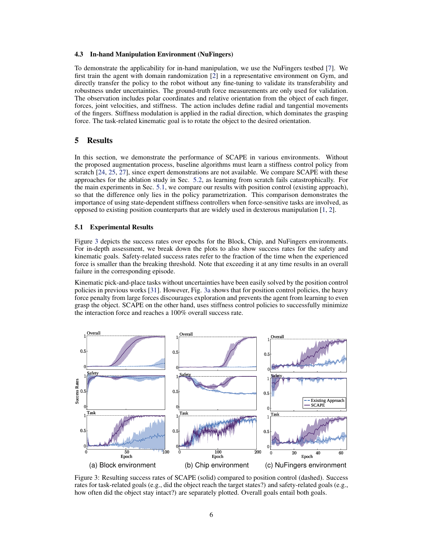#### <span id="page-5-0"></span>4.3 In-hand Manipulation Environment (NuFingers)

To demonstrate the applicability for in-hand manipulation, we use the NuFingers testbed [\[7\]](#page-8-0). We first train the agent with domain randomization [\[2\]](#page-8-0) in a representative environment on Gym, and directly transfer the policy to the robot without any fine-tuning to validate its transferability and robustness under uncertainties. The ground-truth force measurements are only used for validation. The observation includes polar coordinates and relative orientation from the object of each finger, forces, joint velocities, and stiffness. The action includes define radial and tangential movements of the fingers. Stiffness modulation is applied in the radial direction, which dominates the grasping force. The task-related kinematic goal is to rotate the object to the desired orientation.

## 5 Results

In this section, we demonstrate the performance of SCAPE in various environments. Without the proposed augmentation process, baseline algorithms must learn a stiffness control policy from scratch [\[24,](#page-9-0) [25,](#page-9-0) [27\]](#page-9-0), since expert demonstrations are not available. We compare SCAPE with these approaches for the ablation study in Sec. [5.2,](#page-6-0) as learning from scratch fails catastrophically. For the main experiments in Sec. 5.1, we compare our results with position control (existing approach), so that the difference only lies in the policy parametrization. This comparison demonstrates the importance of using state-dependent stiffness controllers when force-sensitive tasks are involved, as opposed to existing position counterparts that are widely used in dexterous manipulation [\[1,](#page-8-0) [2\]](#page-8-0).

### 5.1 Experimental Results

Figure 3 depicts the success rates over epochs for the Block, Chip, and NuFingers environments. For in-depth assessment, we break down the plots to also show success rates for the safety and kinematic goals. Safety-related success rates refer to the fraction of the time when the experienced force is smaller than the breaking threshold. Note that exceeding it at any time results in an overall failure in the corresponding episode.

Kinematic pick-and-place tasks without uncertainties have been easily solved by the position control policies in previous works [\[31\]](#page-9-0). However, Fig. 3a shows that for position control policies, the heavy force penalty from large forces discourages exploration and prevents the agent from learning to even grasp the object. SCAPE on the other hand, uses stiffness control policies to successfully minimize the interaction force and reaches a 100% overall success rate.



Figure 3: Resulting success rates of SCAPE (solid) compared to position control (dashed). Success rates for task-related goals (e.g., did the object reach the target states?) and safety-related goals (e.g., how often did the object stay intact?) are separately plotted. Overall goals entail both goals.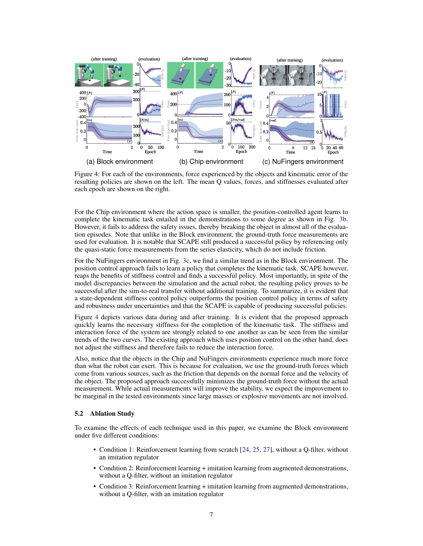<span id="page-6-0"></span>

Figure 4: For each of the environments, force experienced by the objects and kinematic error of the resulting policies are shown on the left. The mean Q values, forces, and stiffnesses evaluated after each epoch are shown on the right.

For the Chip environment where the action space is smaller, the position-controlled agent learns to complete the kinematic task entailed in the demonstrations to some degree as shown in Fig. [3b.](#page-5-0) However, it fails to address the safety issues, thereby breaking the object in almost all of the evaluation episodes. Note that unlike in the Block environment, the ground-truth force measurements are used for evaluation. It is notable that SCAPE still produced a successful policy by referencing only the quasi-static force measurements from the series elasticity, which do not include friction.

For the NuFingers environment in Fig. [3c,](#page-5-0) we find a similar trend as in the Block environment. The position control approach fails to learn a policy that completes the kinematic task. SCAPE however, reaps the benefits of stiffness control and finds a successful policy. Most importantly, in spite of the model discrepancies between the simulation and the actual robot, the resulting policy proves to be successful after the sim-to-real transfer without additional training. To summarize, it is evident that a state-dependent stiffness control policy outperforms the position control policy in terms of safety and robustness under uncertainties and that the SCAPE is capable of producing successful policies.

Figure 4 depicts various data during and after training. It is evident that the proposed approach quickly learns the necessary stiffness for the completion of the kinematic task. The stiffness and interaction force of the system are strongly related to one another as can be seen from the similar trends of the two curves. The existing approach which uses position control on the other hand, does not adjust the stiffness and therefore fails to reduce the interaction force.

Also, notice that the objects in the Chip and NuFingers environments experience much more force than what the robot can exert. This is because for evaluation, we use the ground-truth forces which come from various sources, such as the friction that depends on the normal force and the velocity of the object. The proposed approach successfully minimizes the ground-truth force without the actual measurement. While actual measurements will improve the stability, we expect the improvement to be marginal in the tested environments since large masses or explosive movements are not involved.

## 5.2 Ablation Study

To examine the effects of each technique used in this paper, we examine the Block environment under five different conditions:

- Condition 1: Reinforcement learning from scratch [\[24,](#page-9-0) [25,](#page-9-0) [27\]](#page-9-0), without a Q-filter, without an imitation regulator
- Condition 2: Reinforcement learning + imitation learning from augmented demonstrations, without a Q-filter, without an imitation regulator
- Condition 3: Reinforcement learning + imitation learning from augmented demonstrations, without a Q-filter, with an imitation regulator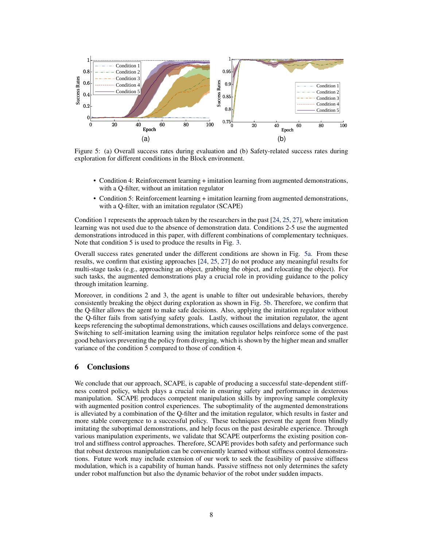

Figure 5: (a) Overall success rates during evaluation and (b) Safety-related success rates during exploration for different conditions in the Block environment.

- Condition 4: Reinforcement learning + imitation learning from augmented demonstrations, with a Q-filter, without an imitation regulator
- Condition 5: Reinforcement learning + imitation learning from augmented demonstrations, with a Q-filter, with an imitation regulator (SCAPE)

Condition 1 represents the approach taken by the researchers in the past [\[24,](#page-9-0) [25,](#page-9-0) [27\]](#page-9-0), where imitation learning was not used due to the absence of demonstration data. Conditions 2-5 use the augmented demonstrations introduced in this paper, with different combinations of complementary techniques. Note that condition 5 is used to produce the results in Fig. [3.](#page-5-0)

Overall success rates generated under the different conditions are shown in Fig. 5a. From these results, we confirm that existing approaches [\[24,](#page-9-0) [25,](#page-9-0) [27\]](#page-9-0) do not produce any meaningful results for multi-stage tasks (e.g., approaching an object, grabbing the object, and relocating the object). For such tasks, the augmented demonstrations play a crucial role in providing guidance to the policy through imitation learning.

Moreover, in conditions 2 and 3, the agent is unable to filter out undesirable behaviors, thereby consistently breaking the object during exploration as shown in Fig. 5b. Therefore, we confirm that the Q-filter allows the agent to make safe decisions. Also, applying the imitation regulator without the Q-filter fails from satisfying safety goals. Lastly, without the imitation regulator, the agent keeps referencing the suboptimal demonstrations, which causes oscillations and delays convergence. Switching to self-imitation learning using the imitation regulator helps reinforce some of the past good behaviors preventing the policy from diverging, which is shown by the higher mean and smaller variance of the condition 5 compared to those of condition 4.

## 6 Conclusions

We conclude that our approach, SCAPE, is capable of producing a successful state-dependent stiffness control policy, which plays a crucial role in ensuring safety and performance in dexterous manipulation. SCAPE produces competent manipulation skills by improving sample complexity with augmented position control experiences. The suboptimality of the augmented demonstrations is alleviated by a combination of the Q-filter and the imitation regulator, which results in faster and more stable convergence to a successful policy. These techniques prevent the agent from blindly imitating the suboptimal demonstrations, and help focus on the past desirable experience. Through various manipulation experiments, we validate that SCAPE outperforms the existing position control and stiffness control approaches. Therefore, SCAPE provides both safety and performance such that robust dexterous manipulation can be conveniently learned without stiffness control demonstrations. Future work may include extension of our work to seek the feasibility of passive stiffness modulation, which is a capability of human hands. Passive stiffness not only determines the safety under robot malfunction but also the dynamic behavior of the robot under sudden impacts.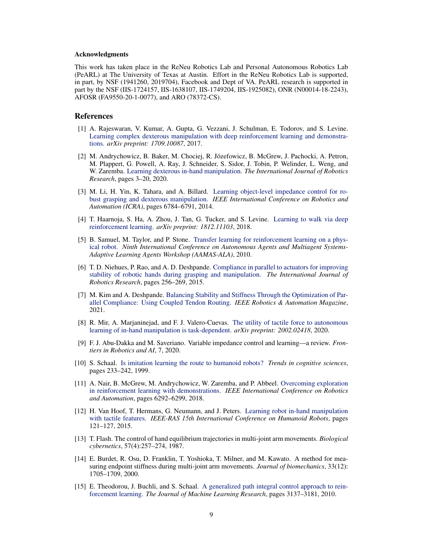#### <span id="page-8-0"></span>Acknowledgments

This work has taken place in the ReNeu Robotics Lab and Personal Autonomous Robotics Lab (PeARL) at The University of Texas at Austin. Effort in the ReNeu Robotics Lab is supported, in part, by NSF (1941260, 2019704), Facebook and Dept of VA. PeARL research is supported in part by the NSF (IIS-1724157, IIS-1638107, IIS-1749204, IIS-1925082), ONR (N00014-18-2243), AFOSR (FA9550-20-1-0077), and ARO (78372-CS).

#### References

- [1] A. Rajeswaran, V. Kumar, A. Gupta, G. Vezzani, J. Schulman, E. Todorov, and S. Levine. [Learning complex dexterous manipulation with deep reinforcement learning and demonstra](https://arxiv.org/abs/1709.10087)[tions.](https://arxiv.org/abs/1709.10087) *arXiv preprint: 1709.10087*, 2017.
- [2] M. Andrychowicz, B. Baker, M. Chociej, R. Józefowicz, B. McGrew, J. Pachocki, A. Petron, M. Plappert, G. Powell, A. Ray, J. Schneider, S. Sidor, J. Tobin, P. Welinder, L. Weng, and W. Zaremba. [Learning dexterous in-hand manipulation.](https://doi.org/10.1177/0278364919887447) *The International Journal of Robotics Research*, pages 3–20, 2020.
- [3] M. Li, H. Yin, K. Tahara, and A. Billard. [Learning object-level impedance control for ro](https://ieeexplore.ieee.org/abstract/document/6907861)[bust grasping and dexterous manipulation.](https://ieeexplore.ieee.org/abstract/document/6907861) *IEEE International Conference on Robotics and Automation (ICRA)*, pages 6784–6791, 2014.
- [4] T. Haarnoja, S. Ha, A. Zhou, J. Tan, G. Tucker, and S. Levine. [Learning to walk via deep](https://arxiv.org/abs/1806.05635) [reinforcement learning.](https://arxiv.org/abs/1806.05635) *arXiv preprint: 1812.11103*, 2018.
- [5] B. Samuel, M. Taylor, and P. Stone. [Transfer learning for reinforcement learning on a phys](https://ieeexplore.ieee.org/abstract/document/4046624)[ical robot.](https://ieeexplore.ieee.org/abstract/document/4046624) *Ninth International Conference on Autonomous Agents and Multiagent Systems-Adaptive Learning Agents Workshop (AAMAS-ALA)*, 2010.
- [6] T. D. Niehues, P. Rao, and A. D. Deshpande. [Compliance in parallel to actuators for improving](https://doi.org/10.1177/0278364914558016) [stability of robotic hands during grasping and manipulation.](https://doi.org/10.1177/0278364914558016) *The International Journal of Robotics Research*, pages 256–269, 2015.
- [7] M. Kim and A. Deshpande. [Balancing Stability and Stiffness Through the Optimization of Par](https://doi.org/10.1109/MRA.2020.3038555)[allel Compliance: Using Coupled Tendon Routing.](https://doi.org/10.1109/MRA.2020.3038555) *IEEE Robotics & Automation Magazine*, 2021.
- [8] R. Mir, A. Marjaninejad, and F. J. Valero-Cuevas. [The utility of tactile force to autonomous](https://arxiv.org/abs/2002.02418) [learning of in-hand manipulation is task-dependent.](https://arxiv.org/abs/2002.02418) *arXiv preprint: 2002.02418*, 2020.
- [9] F. J. Abu-Dakka and M. Saveriano. Variable impedance control and learning—a review. *Frontiers in Robotics and AI*, 7, 2020.
- [10] S. Schaal. [Is imitation learning the route to humanoid robots?](https://doi.org/10.1016/S1364-6613(99)01327-3) *Trends in cognitive sciences*, pages 233–242, 1999.
- [11] A. Nair, B. McGrew, M. Andrychowicz, W. Zaremba, and P. Abbeel. [Overcoming exploration](https://ieeexplore.ieee.org/abstract/document/8463162) [in reinforcement learning with demonstrations.](https://ieeexplore.ieee.org/abstract/document/8463162) *IEEE International Conference on Robotics and Automation*, pages 6292–6299, 2018.
- [12] H. Van Hoof, T. Hermans, G. Neumann, and J. Peters. [Learning robot in-hand manipulation](https://ieeexplore.ieee.org/abstract/document/73635245) [with tactile features.](https://ieeexplore.ieee.org/abstract/document/73635245) *IEEE-RAS 15th International Conference on Humanoid Robots*, pages 121–127, 2015.
- [13] T. Flash. The control of hand equilibrium trajectories in multi-joint arm movements. *Biological cybernetics*, 57(4):257–274, 1987.
- [14] E. Burdet, R. Osu, D. Franklin, T. Yoshioka, T. Milner, and M. Kawato. A method for measuring endpoint stiffness during multi-joint arm movements. *Journal of biomechanics*, 33(12): 1705–1709, 2000.
- [15] E. Theodorou, J. Buchli, and S. Schaal. [A generalized path integral control approach to rein](https://dl.acm.org/doi/10.5555/1756006.1953033)[forcement learning.](https://dl.acm.org/doi/10.5555/1756006.1953033) *The Journal of Machine Learning Research*, pages 3137–3181, 2010.